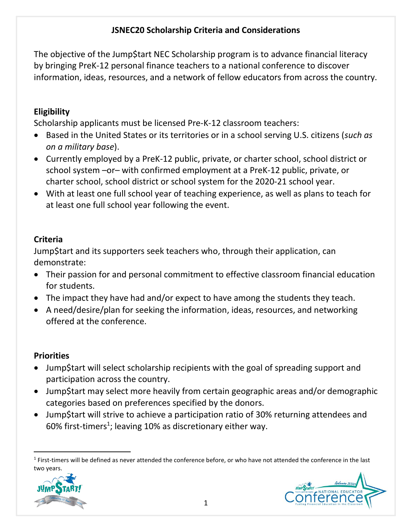# **JSNEC20 Scholarship Criteria and Considerations**

The objective of the Jump\$tart NEC Scholarship program is to advance financial literacy by bringing PreK-12 personal finance teachers to a national conference to discover information, ideas, resources, and a network of fellow educators from across the country.

## **Eligibility**

Scholarship applicants must be licensed Pre-K-12 classroom teachers:

- Based in the United States or its territories or in a school serving U.S. citizens (*such as on a military base*).
- Currently employed by a PreK-12 public, private, or charter school, school district or school system –or– with confirmed employment at a PreK-12 public, private, or charter school, school district or school system for the 2020-21 school year.
- With at least one full school year of teaching experience, as well as plans to teach for at least one full school year following the event.

# **Criteria**

Jump\$tart and its supporters seek teachers who, through their application, can demonstrate:

- Their passion for and personal commitment to effective classroom financial education for students.
- The impact they have had and/or expect to have among the students they teach.
- A need/desire/plan for seeking the information, ideas, resources, and networking offered at the conference.

#### **Priorities**

- Jump\$tart will select scholarship recipients with the goal of spreading support and participation across the country.
- Jump\$tart may select more heavily from certain geographic areas and/or demographic categories based on preferences specified by the donors.
- Jump\$tart will strive to achieve a participation ratio of 30% returning attendees and 60% first-timers<sup>1</sup>; leaving 10% as discretionary either way.

 $1$  First-timers will be defined as never attended the conference before, or who have not attended the conference in the last two years.